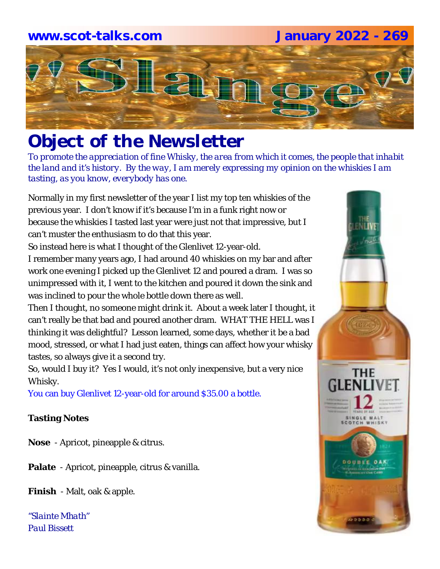## **www.scot-talks.com January 2022 - 269**Laun

### *Object of the Newsletter*

*To promote the appreciation of fine Whisky, the area from which it comes, the people that inhabit the land and it's history. By the way, I am merely expressing my opinion on the whiskies I am tasting, as you know, everybody has one.* 

Normally in my first newsletter of the year I list my top ten whiskies of the previous year. I don't know if it's because I'm in a funk right now or because the whiskies I tasted last year were just not that impressive, but I can't muster the enthusiasm to do that this year.

So instead here is what I thought of the Glenlivet 12-year-old.

I remember many years ago, I had around 40 whiskies on my bar and after work one evening I picked up the Glenlivet 12 and poured a dram. I was so unimpressed with it, I went to the kitchen and poured it down the sink and was inclined to pour the whole bottle down there as well.

Then I thought, no someone might drink it. About a week later I thought, it can't really be that bad and poured another dram. WHAT THE HELL was I thinking it was delightful? Lesson learned, some days, whether it be a bad mood, stressed, or what I had just eaten, things can affect how your whisky tastes, so always give it a second try.

So, would I buy it? Yes I would, it's not only inexpensive, but a very nice Whisky.

You can buy Glenlivet 12-year-old for around \$35.00 a bottle.

#### **Tasting Notes**

**Nose** - Apricot, pineapple & citrus.

**Palate** - Apricot, pineapple, citrus & vanilla.

**Finish** - Malt, oak & apple.

*"Slainte Mhath" Paul Bissett*

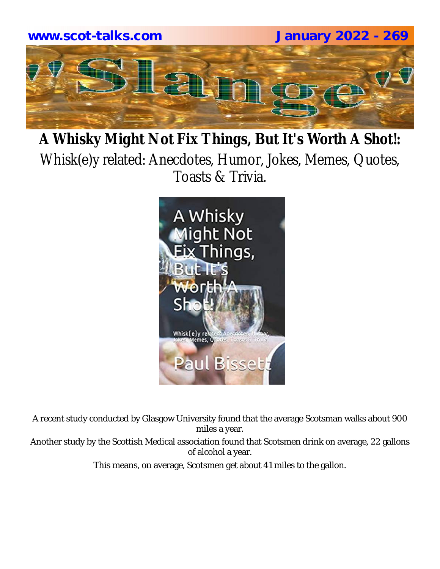

### **A Whisky Might Not Fix Things, But It's Worth A Shot!:**  Whisk(e)y related: Anecdotes, Humor, Jokes, Memes, Quotes, Toasts & Trivia.



A recent study conducted by Glasgow University found that the average Scotsman walks about 900 miles a year.

Another study by the Scottish Medical association found that Scotsmen drink on average, 22 gallons of alcohol a year.

This means, on average, Scotsmen get about 41 miles to the gallon.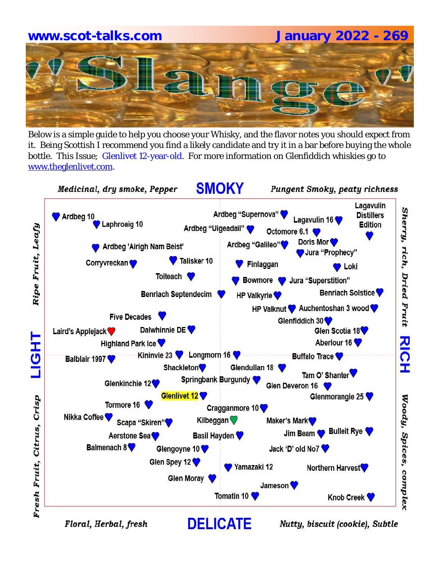# **www.scot-talks.com January 2022 - 269**

Below is a simple guide to help you choose your Whisky, and the flavor notes you should expect from it. Being Scottish I recommend you find a likely candidate and try it in a bar before buying the whole bottle. This Issue; Glenlivet 12-year-old. For more information on Glenfiddich whiskies go to www.theglenlivet.com.

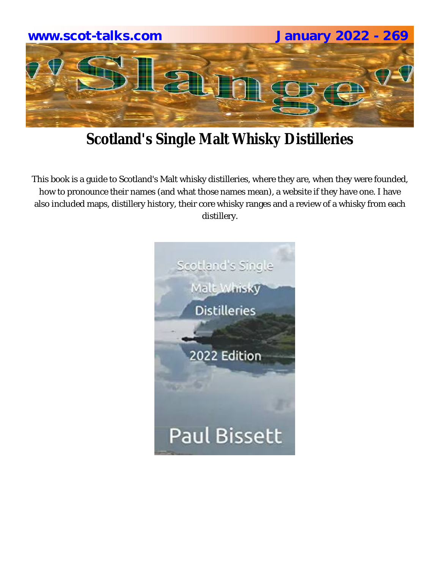

### **Scotland's Single Malt Whisky Distilleries**

This book is a guide to Scotland's Malt whisky distilleries, where they are, when they were founded, how to pronounce their names (and what those names mean), a website if they have one. I have also included maps, distillery history, their core whisky ranges and a review of a whisky from each distillery.

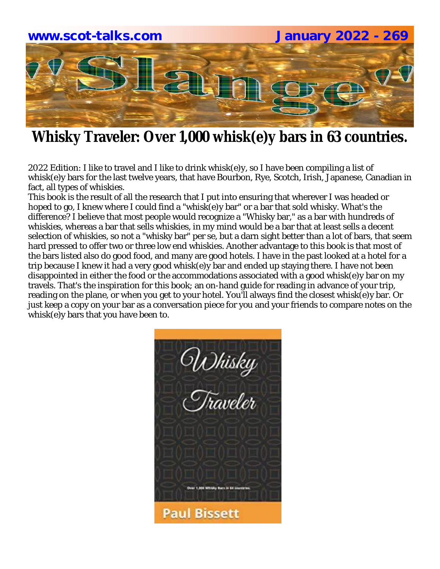

### **Whisky Traveler: Over 1,000 whisk(e)y bars in 63 countries.**

2022 Edition: I like to travel and I like to drink whisk(e)y, so I have been compiling a list of whisk(e)y bars for the last twelve years, that have Bourbon, Rye, Scotch, Irish, Japanese, Canadian in fact, all types of whiskies.

This book is the result of all the research that I put into ensuring that wherever I was headed or hoped to go, I knew where I could find a "whisk(e)y bar" or a bar that sold whisky. What's the difference? I believe that most people would recognize a "Whisky bar," as a bar with hundreds of whiskies, whereas a bar that sells whiskies, in my mind would be a bar that at least sells a decent selection of whiskies, so not a "whisky bar" per se, but a darn sight better than a lot of bars, that seem hard pressed to offer two or three low end whiskies. Another advantage to this book is that most of the bars listed also do good food, and many are good hotels. I have in the past looked at a hotel for a trip because I knew it had a very good whisk(e)y bar and ended up staying there. I have not been disappointed in either the food or the accommodations associated with a good whisk(e)y bar on my travels. That's the inspiration for this book; an on-hand guide for reading in advance of your trip, reading on the plane, or when you get to your hotel. You'll always find the closest whisk(e)y bar. Or just keep a copy on your bar as a conversation piece for you and your friends to compare notes on the whisk(e)y bars that you have been to.

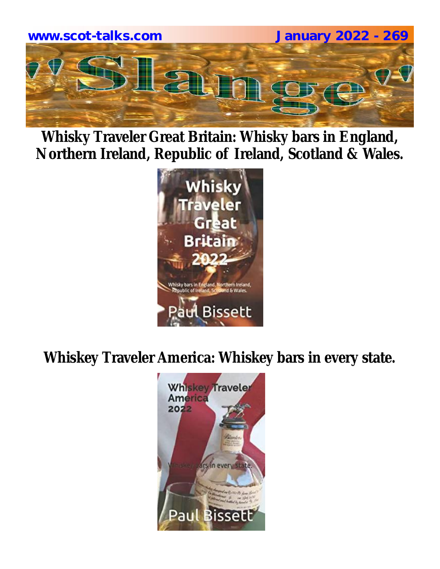

**Whisky Traveler Great Britain: Whisky bars in England, Northern Ireland, Republic of Ireland, Scotland & Wales.**



**Whiskey Traveler America: Whiskey bars in every state.**